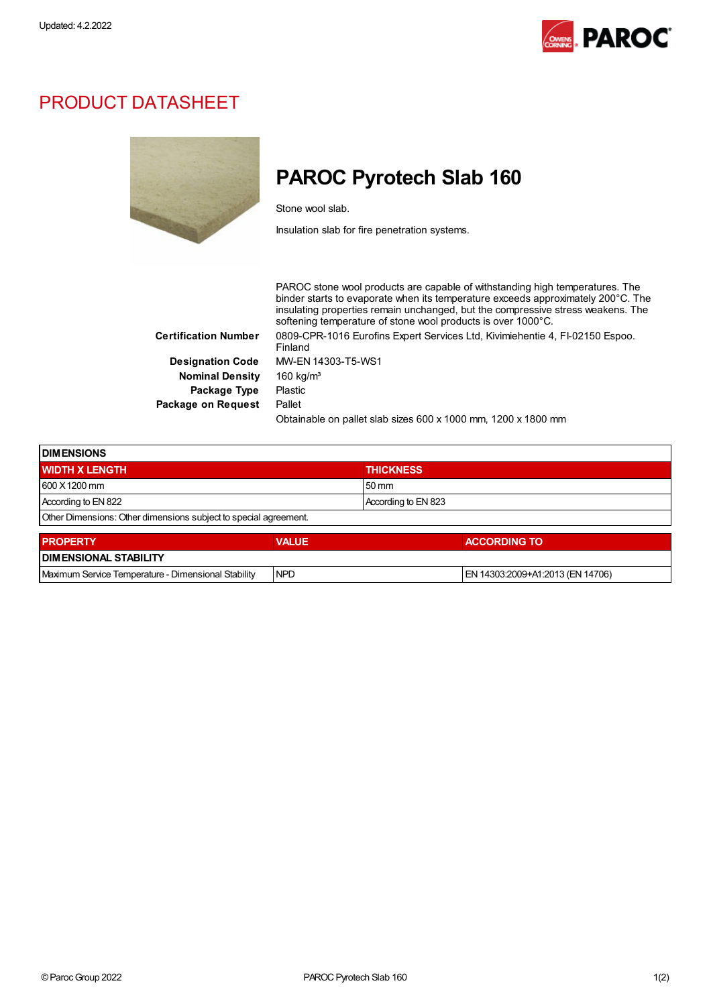

## PRODUCT DATASHEET



## PAROC Pyrotech Slab 160

Stone wool slab.

Insulation slab for fire penetration systems.

PAROC stone wool products are capable of withstanding high temperatures. The binder starts to evaporate when its temperature exceeds approximately 200°C. The insulating properties remain unchanged, but the compressive stress weakens. The softening temperature of stone wool products is over 1000°C. Certification Number 0809-CPR-1016 Eurofins Expert Services Ltd, Kivimiehentie 4, FI-02150 Espoo. Finland Designation Code MW-EN 14303-T5-WS1 Nominal Density 160 kg/m<sup>3</sup> Package Type Plastic Package on Request Pallet Obtainable on pallet slab sizes 600 x 1000 mm, 1200 x 1800 mm

| <b>DIMENSIONS</b>                                                |              |                     |  |  |  |
|------------------------------------------------------------------|--------------|---------------------|--|--|--|
| <b>WIDTH X LENGTH</b>                                            |              | <b>THICKNESS</b>    |  |  |  |
| 600 X 1200 mm                                                    |              | $50 \text{ mm}$     |  |  |  |
| According to EN 822                                              |              | According to EN 823 |  |  |  |
| Other Dimensions: Other dimensions subject to special agreement. |              |                     |  |  |  |
| <b>PROPERTY</b>                                                  | <b>VALUE</b> | <b>ACCORDING TO</b> |  |  |  |
| <b>DIMENSIONAL STABILITY</b>                                     |              |                     |  |  |  |

Maximum Service Temperature - Dimensional Stability NPD EN 14303:2009+A1:2013 (EN 14706)